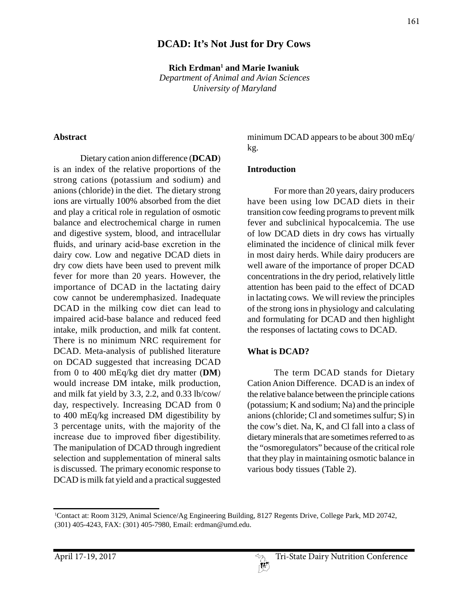## **DCAD: It's Not Just for Dry Cows**

**Rich Erdman1 and Marie Iwaniuk** *Department of Animal and Avian Sciences University of Maryland*

#### **Abstract**

Dietary cation anion difference (**DCAD**) is an index of the relative proportions of the strong cations (potassium and sodium) and anions (chloride) in the diet. The dietary strong ions are virtually 100% absorbed from the diet and play a critical role in regulation of osmotic balance and electrochemical charge in rumen and digestive system, blood, and intracellular fluids, and urinary acid-base excretion in the dairy cow. Low and negative DCAD diets in dry cow diets have been used to prevent milk fever for more than 20 years. However, the importance of DCAD in the lactating dairy cow cannot be underemphasized. Inadequate DCAD in the milking cow diet can lead to impaired acid-base balance and reduced feed intake, milk production, and milk fat content. There is no minimum NRC requirement for DCAD. Meta-analysis of published literature on DCAD suggested that increasing DCAD from 0 to 400 mEq/kg diet dry matter (**DM**) would increase DM intake, milk production, and milk fat yield by 3.3, 2.2, and 0.33 lb/cow/ day, respectively. Increasing DCAD from 0 to 400 mEq/kg increased DM digestibility by 3 percentage units, with the majority of the increase due to improved fiber digestibility. The manipulation of DCAD through ingredient selection and supplementation of mineral salts is discussed. The primary economic response to DCAD is milk fat yield and a practical suggested

minimum DCAD appears to be about 300 mEq/ kg.

#### **Introduction**

For more than 20 years, dairy producers have been using low DCAD diets in their transition cow feeding programs to prevent milk fever and subclinical hypocalcemia. The use of low DCAD diets in dry cows has virtually eliminated the incidence of clinical milk fever in most dairy herds. While dairy producers are well aware of the importance of proper DCAD concentrations in the dry period, relatively little attention has been paid to the effect of DCAD in lactating cows. We will review the principles of the strong ions in physiology and calculating and formulating for DCAD and then highlight the responses of lactating cows to DCAD.

#### **What is DCAD?**

The term DCAD stands for Dietary Cation Anion Difference. DCAD is an index of the relative balance between the principle cations (potassium; K and sodium; Na) and the principle anions (chloride; Cl and sometimes sulfur; S) in the cow's diet. Na, K, and Cl fall into a class of dietary minerals that are sometimes referred to as the "osmoregulators" because of the critical role that they play in maintaining osmotic balance in various body tissues (Table 2).

<sup>1</sup> Contact at: Room 3129, Animal Science/Ag Engineering Building, 8127 Regents Drive, College Park, MD 20742, (301) 405-4243, FAX: (301) 405-7980, Email: erdman@umd.edu.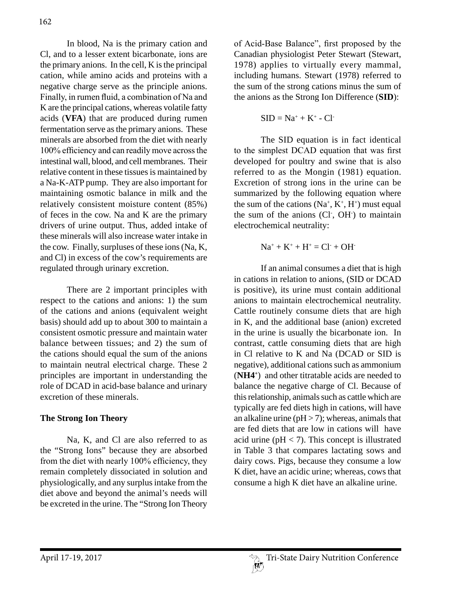In blood, Na is the primary cation and Cl, and to a lesser extent bicarbonate, ions are the primary anions. In the cell, K is the principal cation, while amino acids and proteins with a negative charge serve as the principle anions. Finally, in rumen fluid, a combination of Na and K are the principal cations, whereas volatile fatty acids (**VFA**) that are produced during rumen fermentation serve as the primary anions. These minerals are absorbed from the diet with nearly 100% efficiency and can readily move across the intestinal wall, blood, and cell membranes. Their relative content in these tissues is maintained by a Na-K-ATP pump. They are also important for maintaining osmotic balance in milk and the relatively consistent moisture content (85%) of feces in the cow. Na and K are the primary drivers of urine output. Thus, added intake of these minerals will also increase water intake in the cow. Finally, surpluses of these ions (Na, K, and Cl) in excess of the cow's requirements are regulated through urinary excretion.

There are 2 important principles with respect to the cations and anions: 1) the sum of the cations and anions (equivalent weight basis) should add up to about 300 to maintain a consistent osmotic pressure and maintain water balance between tissues; and 2) the sum of the cations should equal the sum of the anions to maintain neutral electrical charge. These 2 principles are important in understanding the role of DCAD in acid-base balance and urinary excretion of these minerals.

## **The Strong Ion Theory**

Na, K, and Cl are also referred to as the "Strong Ions" because they are absorbed from the diet with nearly 100% efficiency, they remain completely dissociated in solution and physiologically, and any surplus intake from the diet above and beyond the animal's needs will be excreted in the urine. The "Strong Ion Theory

of Acid-Base Balance", first proposed by the Canadian physiologist Peter Stewart (Stewart, 1978) applies to virtually every mammal, including humans. Stewart (1978) referred to the sum of the strong cations minus the sum of the anions as the Strong Ion Difference (**SID**):

$$
SID = Na^+ + K^+ - Cl^-
$$

The SID equation is in fact identical to the simplest DCAD equation that was first developed for poultry and swine that is also referred to as the Mongin (1981) equation. Excretion of strong ions in the urine can be summarized by the following equation where the sum of the cations  $(Na^+, K^+, H^+)$  must equal the sum of the anions (Cl, OH) to maintain electrochemical neutrality:

 $Na^+ + K^+ + H^+ = Cl^- + OH^-$ 

If an animal consumes a diet that is high in cations in relation to anions, (SID or DCAD is positive), its urine must contain additional anions to maintain electrochemical neutrality. Cattle routinely consume diets that are high in K, and the additional base (anion) excreted in the urine is usually the bicarbonate ion. In contrast, cattle consuming diets that are high in Cl relative to K and Na (DCAD or SID is negative), additional cations such as ammonium (**NH4+** ) and other titratable acids are needed to balance the negative charge of Cl. Because of this relationship, animals such as cattle which are typically are fed diets high in cations, will have an alkaline urine ( $pH > 7$ ); whereas, animals that are fed diets that are low in cations will have acid urine ( $pH < 7$ ). This concept is illustrated in Table 3 that compares lactating sows and dairy cows. Pigs, because they consume a low K diet, have an acidic urine; whereas, cows that consume a high K diet have an alkaline urine.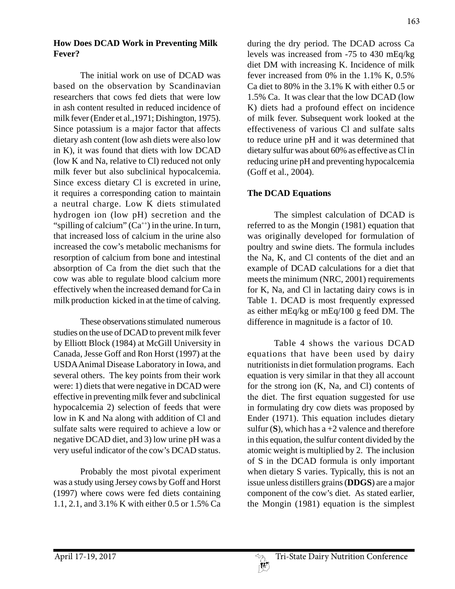#### **How Does DCAD Work in Preventing Milk Fever?**

The initial work on use of DCAD was based on the observation by Scandinavian researchers that cows fed diets that were low in ash content resulted in reduced incidence of milk fever (Ender et al.,1971; Dishington, 1975). Since potassium is a major factor that affects dietary ash content (low ash diets were also low in K), it was found that diets with low DCAD (low K and Na, relative to Cl) reduced not only milk fever but also subclinical hypocalcemia. Since excess dietary Cl is excreted in urine, it requires a corresponding cation to maintain a neutral charge. Low K diets stimulated hydrogen ion (low pH) secretion and the "spilling of calcium"  $(Ca^{+})$  in the urine. In turn, that increased loss of calcium in the urine also increased the cow's metabolic mechanisms for resorption of calcium from bone and intestinal absorption of Ca from the diet such that the cow was able to regulate blood calcium more effectively when the increased demand for Ca in milk production kicked in at the time of calving.

These observations stimulated numerous studies on the use of DCAD to prevent milk fever by Elliott Block (1984) at McGill University in Canada, Jesse Goff and Ron Horst (1997) at the USDA Animal Disease Laboratory in Iowa, and several others. The key points from their work were: 1) diets that were negative in DCAD were effective in preventing milk fever and subclinical hypocalcemia 2) selection of feeds that were low in K and Na along with addition of Cl and sulfate salts were required to achieve a low or negative DCAD diet, and 3) low urine pH was a very useful indicator of the cow's DCAD status.

Probably the most pivotal experiment was a study using Jersey cows by Goff and Horst (1997) where cows were fed diets containing 1.1, 2.1, and 3.1% K with either 0.5 or 1.5% Ca during the dry period. The DCAD across Ca levels was increased from -75 to 430 mEq/kg diet DM with increasing K. Incidence of milk fever increased from 0% in the 1.1% K, 0.5% Ca diet to 80% in the 3.1% K with either 0.5 or 1.5% Ca. It was clear that the low DCAD (low K) diets had a profound effect on incidence of milk fever. Subsequent work looked at the effectiveness of various Cl and sulfate salts to reduce urine pH and it was determined that dietary sulfur was about 60% as effective as Cl in reducing urine pH and preventing hypocalcemia (Goff et al., 2004).

#### **The DCAD Equations**

The simplest calculation of DCAD is referred to as the Mongin (1981) equation that was originally developed for formulation of poultry and swine diets. The formula includes the Na, K, and Cl contents of the diet and an example of DCAD calculations for a diet that meets the minimum (NRC, 2001) requirements for K, Na, and Cl in lactating dairy cows is in Table 1. DCAD is most frequently expressed as either mEq/kg or mEq/100 g feed DM. The difference in magnitude is a factor of 10.

Table 4 shows the various DCAD equations that have been used by dairy nutritionists in diet formulation programs. Each equation is very similar in that they all account for the strong ion (K, Na, and Cl) contents of the diet. The first equation suggested for use in formulating dry cow diets was proposed by Ender (1971). This equation includes dietary sulfur  $(S)$ , which has a +2 valence and therefore in this equation, the sulfur content divided by the atomic weight is multiplied by 2. The inclusion of S in the DCAD formula is only important when dietary S varies. Typically, this is not an issue unless distillers grains (**DDGS**) are a major component of the cow's diet. As stated earlier, the Mongin (1981) equation is the simplest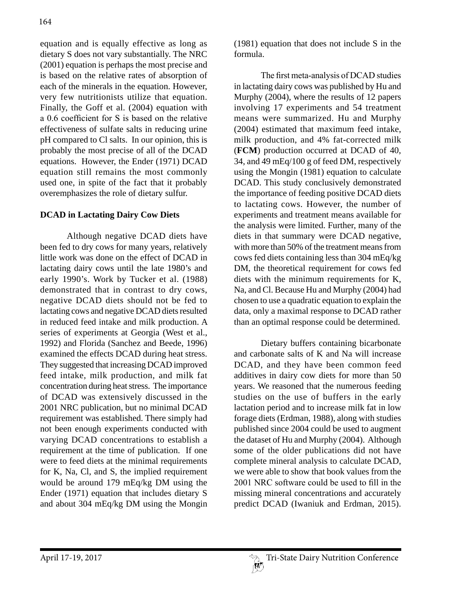equation and is equally effective as long as dietary S does not vary substantially. The NRC (2001) equation is perhaps the most precise and is based on the relative rates of absorption of each of the minerals in the equation. However, very few nutritionists utilize that equation. Finally, the Goff et al. (2004) equation with a 0.6 coefficient for S is based on the relative effectiveness of sulfate salts in reducing urine pH compared to Cl salts. In our opinion, this is probably the most precise of all of the DCAD equations. However, the Ender (1971) DCAD equation still remains the most commonly used one, in spite of the fact that it probably overemphasizes the role of dietary sulfur.

## **DCAD in Lactating Dairy Cow Diets**

Although negative DCAD diets have been fed to dry cows for many years, relatively little work was done on the effect of DCAD in lactating dairy cows until the late 1980's and early 1990's. Work by Tucker et al. (1988) demonstrated that in contrast to dry cows, negative DCAD diets should not be fed to lactating cows and negative DCAD diets resulted in reduced feed intake and milk production. A series of experiments at Georgia (West et al., 1992) and Florida (Sanchez and Beede, 1996) examined the effects DCAD during heat stress. They suggested that increasing DCAD improved feed intake, milk production, and milk fat concentration during heat stress. The importance of DCAD was extensively discussed in the 2001 NRC publication, but no minimal DCAD requirement was established. There simply had not been enough experiments conducted with varying DCAD concentrations to establish a requirement at the time of publication. If one were to feed diets at the minimal requirements for K, Na, Cl, and S, the implied requirement would be around 179 mEq/kg DM using the Ender (1971) equation that includes dietary S and about 304 mEq/kg DM using the Mongin (1981) equation that does not include S in the formula.

The first meta-analysis of DCAD studies in lactating dairy cows was published by Hu and Murphy (2004), where the results of 12 papers involving 17 experiments and 54 treatment means were summarized. Hu and Murphy (2004) estimated that maximum feed intake, milk production, and 4% fat-corrected milk (**FCM**) production occurred at DCAD of 40, 34, and 49 mEq/100 g of feed DM, respectively using the Mongin (1981) equation to calculate DCAD. This study conclusively demonstrated the importance of feeding positive DCAD diets to lactating cows. However, the number of experiments and treatment means available for the analysis were limited. Further, many of the diets in that summary were DCAD negative, with more than 50% of the treatment means from cows fed diets containing less than 304 mEq/kg DM, the theoretical requirement for cows fed diets with the minimum requirements for K, Na, and Cl. Because Hu and Murphy (2004) had chosen to use a quadratic equation to explain the data, only a maximal response to DCAD rather than an optimal response could be determined.

Dietary buffers containing bicarbonate and carbonate salts of K and Na will increase DCAD, and they have been common feed additives in dairy cow diets for more than 50 years. We reasoned that the numerous feeding studies on the use of buffers in the early lactation period and to increase milk fat in low forage diets (Erdman, 1988), along with studies published since 2004 could be used to augment the dataset of Hu and Murphy (2004). Although some of the older publications did not have complete mineral analysis to calculate DCAD, we were able to show that book values from the 2001 NRC software could be used to fill in the missing mineral concentrations and accurately predict DCAD (Iwaniuk and Erdman, 2015).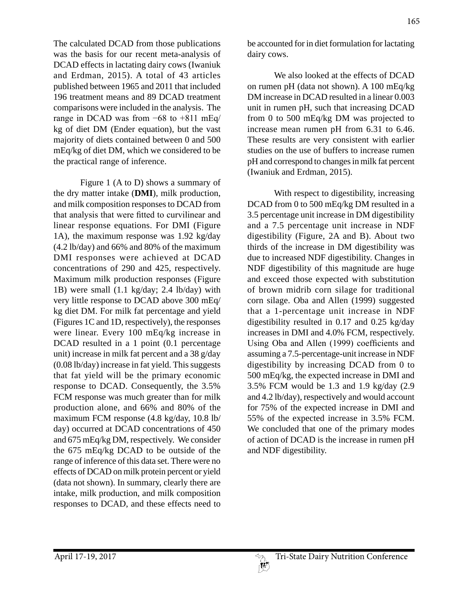The calculated DCAD from those publications was the basis for our recent meta-analysis of DCAD effects in lactating dairy cows (Iwaniuk and Erdman, 2015). A total of 43 articles published between 1965 and 2011 that included 196 treatment means and 89 DCAD treatment comparisons were included in the analysis. The range in DCAD was from −68 to +811 mEq/ kg of diet DM (Ender equation), but the vast majority of diets contained between 0 and 500 mEq/kg of diet DM, which we considered to be the practical range of inference.

Figure 1 (A to D) shows a summary of the dry matter intake (**DMI**), milk production, and milk composition responses to DCAD from that analysis that were fitted to curvilinear and linear response equations. For DMI (Figure 1A), the maximum response was 1.92 kg/day (4.2 lb/day) and 66% and 80% of the maximum DMI responses were achieved at DCAD concentrations of 290 and 425, respectively. Maximum milk production responses (Figure 1B) were small (1.1 kg/day; 2.4 lb/day) with very little response to DCAD above 300 mEq/ kg diet DM. For milk fat percentage and yield (Figures 1C and 1D, respectively), the responses were linear. Every 100 mEq/kg increase in DCAD resulted in a 1 point  $(0.1)$  percentage unit) increase in milk fat percent and a 38 g/day (0.08 lb/day) increase in fat yield. This suggests that fat yield will be the primary economic response to DCAD. Consequently, the 3.5% FCM response was much greater than for milk production alone, and 66% and 80% of the maximum FCM response (4.8 kg/day, 10.8 lb/ day) occurred at DCAD concentrations of 450 and 675 mEq/kg DM, respectively. We consider the 675 mEq/kg DCAD to be outside of the range of inference of this data set. There were no effects of DCAD on milk protein percent or yield (data not shown). In summary, clearly there are intake, milk production, and milk composition responses to DCAD, and these effects need to

be accounted for in diet formulation for lactating dairy cows.

We also looked at the effects of DCAD on rumen pH (data not shown). A 100 mEq/kg DM increase in DCAD resulted in a linear 0.003 unit in rumen pH, such that increasing DCAD from 0 to 500 mEq/kg DM was projected to increase mean rumen pH from 6.31 to 6.46. These results are very consistent with earlier studies on the use of buffers to increase rumen pH and correspond to changes in milk fat percent (Iwaniuk and Erdman, 2015).

With respect to digestibility, increasing DCAD from 0 to 500 mEq/kg DM resulted in a 3.5 percentage unit increase in DM digestibility and a 7.5 percentage unit increase in NDF digestibility (Figure, 2A and B). About two thirds of the increase in DM digestibility was due to increased NDF digestibility. Changes in NDF digestibility of this magnitude are huge and exceed those expected with substitution of brown midrib corn silage for traditional corn silage. Oba and Allen (1999) suggested that a 1-percentage unit increase in NDF digestibility resulted in 0.17 and 0.25 kg/day increases in DMI and 4.0% FCM, respectively. Using Oba and Allen (1999) coefficients and assuming a 7.5-percentage-unit increase in NDF digestibility by increasing DCAD from 0 to 500 mEq/kg, the expected increase in DMI and 3.5% FCM would be 1.3 and 1.9 kg/day (2.9 and 4.2 lb/day), respectively and would account for 75% of the expected increase in DMI and 55% of the expected increase in 3.5% FCM. We concluded that one of the primary modes of action of DCAD is the increase in rumen pH and NDF digestibility.

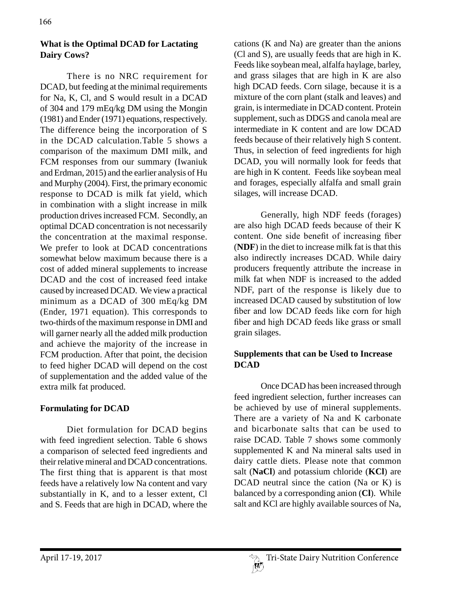## **What is the Optimal DCAD for Lactating Dairy Cows?**

There is no NRC requirement for DCAD, but feeding at the minimal requirements for Na, K, Cl, and S would result in a DCAD of 304 and 179 mEq/kg DM using the Mongin (1981) and Ender (1971) equations, respectively. The difference being the incorporation of S in the DCAD calculation.Table 5 shows a comparison of the maximum DMI milk, and FCM responses from our summary (Iwaniuk and Erdman, 2015) and the earlier analysis of Hu and Murphy (2004). First, the primary economic response to DCAD is milk fat yield, which in combination with a slight increase in milk production drives increased FCM. Secondly, an optimal DCAD concentration is not necessarily the concentration at the maximal response. We prefer to look at DCAD concentrations somewhat below maximum because there is a cost of added mineral supplements to increase DCAD and the cost of increased feed intake caused by increased DCAD. We view a practical minimum as a DCAD of 300 mEq/kg DM (Ender, 1971 equation). This corresponds to two-thirds of the maximum response in DMI and will garner nearly all the added milk production and achieve the majority of the increase in FCM production. After that point, the decision to feed higher DCAD will depend on the cost of supplementation and the added value of the extra milk fat produced.

## **Formulating for DCAD**

Diet formulation for DCAD begins with feed ingredient selection. Table 6 shows a comparison of selected feed ingredients and their relative mineral and DCAD concentrations. The first thing that is apparent is that most feeds have a relatively low Na content and vary substantially in K, and to a lesser extent, Cl and S. Feeds that are high in DCAD, where the

cations (K and Na) are greater than the anions (Cl and S), are usually feeds that are high in K. Feeds like soybean meal, alfalfa haylage, barley, and grass silages that are high in K are also high DCAD feeds. Corn silage, because it is a mixture of the corn plant (stalk and leaves) and grain, is intermediate in DCAD content. Protein supplement, such as DDGS and canola meal are intermediate in K content and are low DCAD feeds because of their relatively high S content. Thus, in selection of feed ingredients for high DCAD, you will normally look for feeds that are high in K content. Feeds like soybean meal and forages, especially alfalfa and small grain silages, will increase DCAD.

Generally, high NDF feeds (forages) are also high DCAD feeds because of their K content. One side benefit of increasing fiber (**NDF**) in the diet to increase milk fat is that this also indirectly increases DCAD. While dairy producers frequently attribute the increase in milk fat when NDF is increased to the added NDF, part of the response is likely due to increased DCAD caused by substitution of low fiber and low DCAD feeds like corn for high fiber and high DCAD feeds like grass or small grain silages.

## **Supplements that can be Used to Increase DCAD**

Once DCAD has been increased through feed ingredient selection, further increases can be achieved by use of mineral supplements. There are a variety of Na and K carbonate and bicarbonate salts that can be used to raise DCAD. Table 7 shows some commonly supplemented K and Na mineral salts used in dairy cattle diets. Please note that common salt (**NaCl**) and potassium chloride (**KCl**) are DCAD neutral since the cation (Na or K) is balanced by a corresponding anion (**Cl**). While salt and KCl are highly available sources of Na,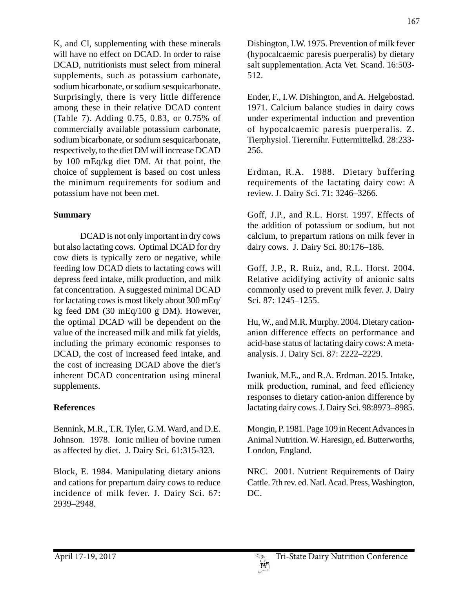K, and Cl, supplementing with these minerals will have no effect on DCAD. In order to raise DCAD, nutritionists must select from mineral supplements, such as potassium carbonate, sodium bicarbonate, or sodium sesquicarbonate. Surprisingly, there is very little difference among these in their relative DCAD content (Table 7). Adding 0.75, 0.83, or 0.75% of commercially available potassium carbonate, sodium bicarbonate, or sodium sesquicarbonate, respectively, to the diet DM will increase DCAD by 100 mEq/kg diet DM. At that point, the choice of supplement is based on cost unless the minimum requirements for sodium and potassium have not been met.

## **Summary**

DCAD is not only important in dry cows but also lactating cows. Optimal DCAD for dry cow diets is typically zero or negative, while feeding low DCAD diets to lactating cows will depress feed intake, milk production, and milk fat concentration. A suggested minimal DCAD for lactating cows is most likely about 300 mEq/ kg feed DM (30 mEq/100 g DM). However, the optimal DCAD will be dependent on the value of the increased milk and milk fat yields, including the primary economic responses to DCAD, the cost of increased feed intake, and the cost of increasing DCAD above the diet's inherent DCAD concentration using mineral supplements.

# **References**

Bennink, M.R., T.R. Tyler, G.M. Ward, and D.E. Johnson. 1978. Ionic milieu of bovine rumen as affected by diet. J. Dairy Sci. 61:315-323.

Block, E. 1984. Manipulating dietary anions and cations for prepartum dairy cows to reduce incidence of milk fever. J. Dairy Sci. 67: 2939–2948.

Dishington, I.W. 1975. Prevention of milk fever (hypocalcaemic paresis puerperalis) by dietary salt supplementation. Acta Vet. Scand. 16:503- 512.

Ender, F., I.W. Dishington, and A. Helgebostad. 1971. Calcium balance studies in dairy cows under experimental induction and prevention of hypocalcaemic paresis puerperalis. Z. Tierphysiol. Tierernihr. Futtermittelkd. 28:233- 256.

Erdman, R.A. 1988. Dietary buffering requirements of the lactating dairy cow: A review. J. Dairy Sci. 71: 3246–3266.

Goff, J.P., and R.L. Horst. 1997. Effects of the addition of potassium or sodium, but not calcium, to prepartum rations on milk fever in dairy cows. J. Dairy Sci. 80:176–186.

Goff, J.P., R. Ruiz, and, R.L. Horst. 2004. Relative acidifying activity of anionic salts commonly used to prevent milk fever. J. Dairy Sci. 87: 1245–1255.

Hu, W., and M.R. Murphy. 2004. Dietary cationanion difference effects on performance and acid-base status of lactating dairy cows: A metaanalysis. J. Dairy Sci. 87: 2222–2229.

Iwaniuk, M.E., and R.A. Erdman. 2015. Intake, milk production, ruminal, and feed efficiency responses to dietary cation-anion difference by lactating dairy cows. J. Dairy Sci. 98:8973–8985.

Mongin, P. 1981. Page 109 in Recent Advances in Animal Nutrition. W. Haresign, ed. Butterworths, London, England.

NRC. 2001. Nutrient Requirements of Dairy Cattle. 7th rev. ed. Natl. Acad. Press, Washington, DC.

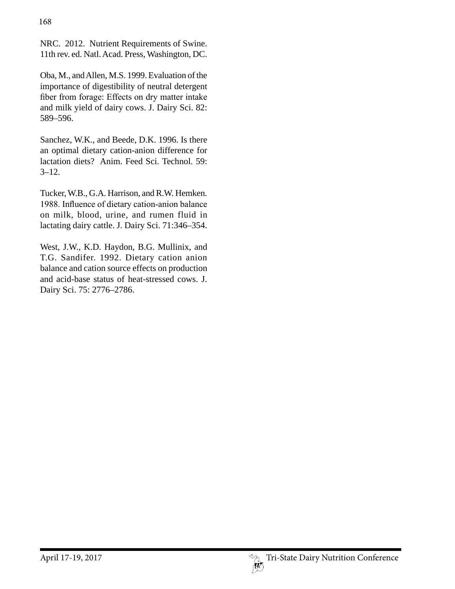NRC. 2012. Nutrient Requirements of Swine. 11th rev. ed. Natl. Acad. Press, Washington, DC.

Oba, M., and Allen, M.S. 1999. Evaluation of the importance of digestibility of neutral detergent fiber from forage: Effects on dry matter intake and milk yield of dairy cows. J. Dairy Sci. 82: 589–596.

Sanchez, W.K., and Beede, D.K. 1996. Is there an optimal dietary cation-anion difference for lactation diets? Anim. Feed Sci. Technol. 59:  $3 - 12$ .

Tucker, W.B., G.A. Harrison, and R.W. Hemken. 1988. Influence of dietary cation-anion balance on milk, blood, urine, and rumen fluid in lactating dairy cattle. J. Dairy Sci. 71:346–354.

West, J.W., K.D. Haydon, B.G. Mullinix, and T.G. Sandifer. 1992. Dietary cation anion balance and cation source effects on production and acid-base status of heat-stressed cows. J. Dairy Sci. 75: 2776–2786.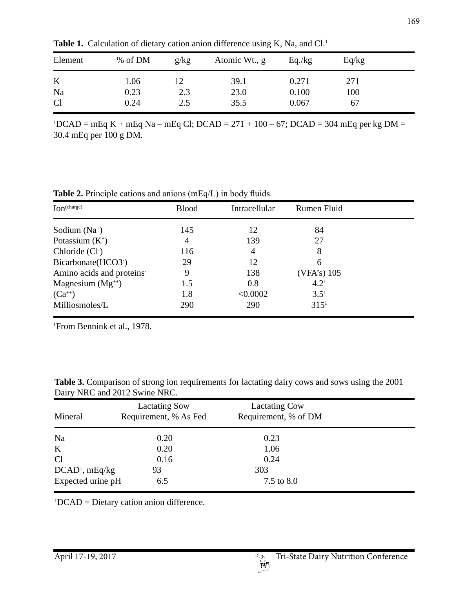| Element | % of DM | g/kg | Atomic Wt., g | Eq./kg | Eq/kg |  |
|---------|---------|------|---------------|--------|-------|--|
| K       | 1.06    |      | 39.1          | 0.271  | 271   |  |
| Na      | 0.23    | 2.3  | 23.0          | 0.100  | 100   |  |
| Cl      | 0.24    | 2.5  | 35.5          | 0.067  | 67    |  |

Table 1. Calculation of dietary cation anion difference using K, Na, and Cl.<sup>1</sup>

 $1DCAD = mEq K + mEq Na - mEq Cl$ ;  $DCAD = 271 + 100 - 67$ ;  $DCAD = 304 mEq per kg DM =$ 30.4 mEq per 100 g DM.

**Table 2.** Principle cations and anions (mEq/L) in body fluids.

| Ion <sup>(charge)</sup>          | <b>Blood</b> | Intracellular | Rumen Fluid      |  |
|----------------------------------|--------------|---------------|------------------|--|
| Sodium $(Na^+)$                  | 145          | 12            | 84               |  |
| Potassium $(K^+)$                | 4            | 139           | 27               |  |
| Chloride (Cl <sup>-</sup> )      | 116          | 4             | 8                |  |
| Bicarbonate (HCO3 <sup>-</sup> ) | 29           | 12            | 6                |  |
| Amino acids and proteins         | 9            | 138           | $(VFA's)$ 105    |  |
| Magnesium $(Mg^{++})$            | 1.5          | 0.8           | 4.2 <sup>1</sup> |  |
| $(Ca^{+})$                       | 1.8          | < 0.0002      | $3.5^{1}$        |  |
| Milliosmoles/L                   | 290          | 290           | 315 <sup>1</sup> |  |

1 From Bennink et al., 1978.

**Table 3.** Comparison of strong ion requirements for lactating dairy cows and sows using the 2001 Dairy NRC and 2012 Swine NRC.

| Mineral           | <b>Lactating Sow</b><br>Requirement, % As Fed | <b>Lactating Cow</b><br>Requirement, % of DM |  |
|-------------------|-----------------------------------------------|----------------------------------------------|--|
| Na                | 0.20                                          | 0.23                                         |  |
| K                 | 0.20                                          | 1.06                                         |  |
| Cl                | 0.16                                          | 0.24                                         |  |
| $DCAD1$ , mEq/kg  | 93                                            | 303                                          |  |
| Expected urine pH | 6.5                                           | 7.5 to 8.0                                   |  |

1 DCAD = Dietary cation anion difference.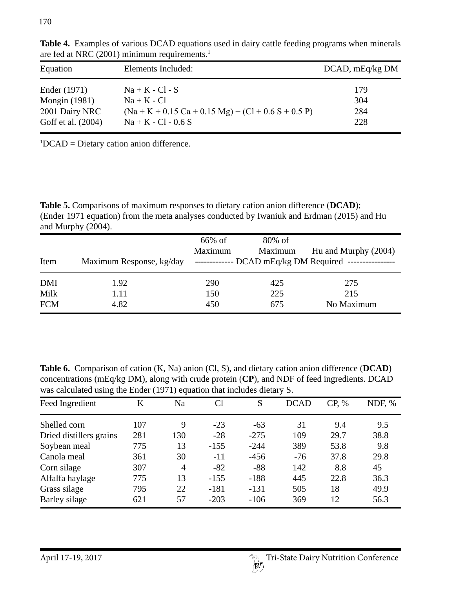| Equation                             | Elements Included:                                                             | $DCAD$ , mEq/kg $DM$ |
|--------------------------------------|--------------------------------------------------------------------------------|----------------------|
| Ender (1971)                         | $Na + K - Cl - S$                                                              | 179                  |
| <b>Mongin</b> (1981)                 | $Na + K - Cl$                                                                  | 304                  |
| 2001 Dairy NRC<br>Goff et al. (2004) | $(Na + K + 0.15 Ca + 0.15 Mg) - (Cl + 0.6 S + 0.5 P)$<br>$Na + K - Cl - 0.6 S$ | 284<br>228           |

**Table 4.** Examples of various DCAD equations used in dairy cattle feeding programs when minerals are fed at NRC (2001) minimum requirements.<sup>1</sup>

1 DCAD = Dietary cation anion difference.

**Table 5.** Comparisons of maximum responses to dietary cation anion difference (**DCAD**); (Ender 1971 equation) from the meta analyses conducted by Iwaniuk and Erdman (2015) and Hu and Murphy (2004).

| Item       | Maximum Response, kg/day | 66% of<br>Maximum | $80\%$ of<br>Maximum | Hu and Murphy (2004)<br>------------- DCAD mEq/kg DM Required ---------------- |
|------------|--------------------------|-------------------|----------------------|--------------------------------------------------------------------------------|
| <b>DMI</b> | 1.92                     | 290               | 425                  | 275                                                                            |
| Milk       | 1.11                     | 150               | 225                  | 215                                                                            |
| <b>FCM</b> | 4.82                     | 450               | 675                  | No Maximum                                                                     |

**Table 6.** Comparison of cation (K, Na) anion (Cl, S), and dietary cation anion difference (**DCAD**) concentrations (mEq/kg DM), along with crude protein (**CP**), and NDF of feed ingredients. DCAD was calculated using the Ender (1971) equation that includes dietary S.

| Feed Ingredient         | Κ   | Na  | Cl     | S      | <b>DCAD</b> | CP, % | NDF, % |
|-------------------------|-----|-----|--------|--------|-------------|-------|--------|
| Shelled corn            | 107 | 9   | $-23$  | $-63$  | 31          | 9.4   | 9.5    |
| Dried distillers grains | 281 | 130 | $-28$  | $-275$ | 109         | 29.7  | 38.8   |
| Soybean meal            | 775 | 13  | $-155$ | $-244$ | 389         | 53.8  | 9.8    |
| Canola meal             | 361 | 30  | $-11$  | $-456$ | $-76$       | 37.8  | 29.8   |
| Corn silage             | 307 | 4   | $-82$  | $-88$  | 142         | 8.8   | 45     |
| Alfalfa haylage         | 775 | 13  | $-155$ | $-188$ | 445         | 22.8  | 36.3   |
| Grass silage            | 795 | 22  | $-181$ | $-131$ | 505         | 18    | 49.9   |
| Barley silage           | 621 | 57  | $-203$ | $-106$ | 369         | 12    | 56.3   |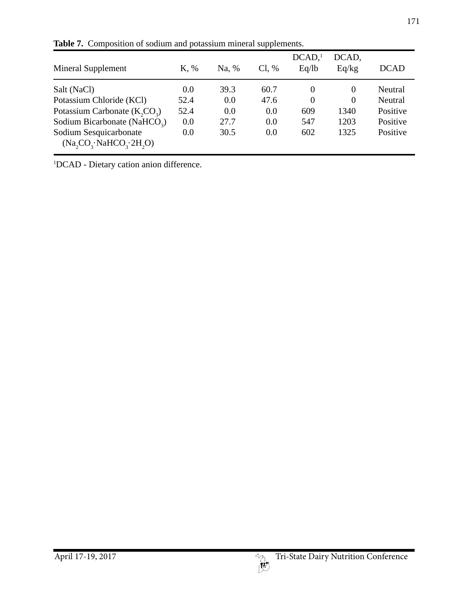| Mineral Supplement                               | K, % | Na, % | $Cl. \%$ | DCAD <sub>1</sub><br>Eq/lb | DCAD,<br>Eq/kg | <b>DCAD</b> |
|--------------------------------------------------|------|-------|----------|----------------------------|----------------|-------------|
| Salt (NaCl)                                      | 0.0  | 39.3  | 60.7     | $\overline{0}$             | $\Omega$       | Neutral     |
| Potassium Chloride (KCl)                         | 52.4 | 0.0   | 47.6     | $\overline{0}$             | $\theta$       | Neutral     |
| Potassium Carbonate $(K, CO3)$                   | 52.4 | 0.0   | 0.0      | 609                        | 1340           | Positive    |
| Sodium Bicarbonate (NaHCO <sub>2</sub> )         | 0.0  | 27.7  | 0.0      | 547                        | 1203           | Positive    |
| Sodium Sesquicarbonate<br>(Na, CO, NaHCO, 2H, O) | 0.0  | 30.5  | 0.0      | 602                        | 1325           | Positive    |

**Table 7.** Composition of sodium and potassium mineral supplements.

1 DCAD - Dietary cation anion difference.